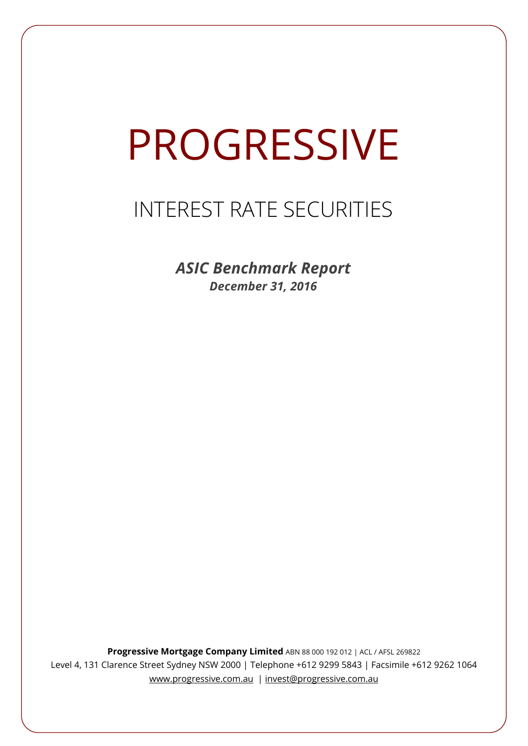# PROGRESSIVE

# INTEREST RATE SECURITIES

*ASIC Benchmark Report December 31, 2016*

**Progressive Mortgage Company Limited** ABN 88 000 192 012 | ACL / AFSL 269822 Level 4, 131 Clarence Street Sydney NSW 2000 | Telephone +612 9299 5843 | Facsimile +612 9262 1064 www.progressive.com.au | invest@progressive.com.au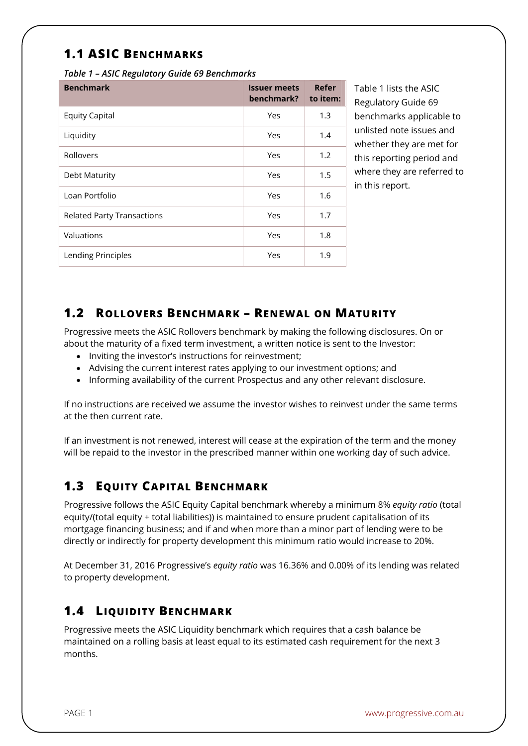## **1.1 ASIC BENCHMARKS**

*Table 1 – ASIC Regulatory Guide 69 Benchmarks* 

| <b>Benchmark</b>                  | <b>Issuer meets</b><br>benchmark? | Refer<br>to item: |
|-----------------------------------|-----------------------------------|-------------------|
| <b>Equity Capital</b>             | Yes                               | 1.3               |
| Liquidity                         | Yes                               | 1.4               |
| Rollovers                         | Yes                               | 1.2               |
| Debt Maturity                     | Yes                               | 1.5               |
| Loan Portfolio                    | Yes                               | 1.6               |
| <b>Related Party Transactions</b> | Yes                               | 1.7               |
| Valuations                        | Yes                               | 1.8               |
| Lending Principles                | Yes                               | 1.9               |

Table 1 lists the ASIC Regulatory Guide 69 benchmarks applicable to unlisted note issues and whether they are met for this reporting period and where they are referred to in this report.

#### **1.2 ROLLOVERS BENCHMARK – RENEWAL ON MATURITY**

Progressive meets the ASIC Rollovers benchmark by making the following disclosures. On or about the maturity of a fixed term investment, a written notice is sent to the Investor:

- Inviting the investor's instructions for reinvestment;
- Advising the current interest rates applying to our investment options; and
- Informing availability of the current Prospectus and any other relevant disclosure.

If no instructions are received we assume the investor wishes to reinvest under the same terms at the then current rate.

If an investment is not renewed, interest will cease at the expiration of the term and the money will be repaid to the investor in the prescribed manner within one working day of such advice.

### **1.3 EQUITY CAPITAL BENCHMARK**

Progressive follows the ASIC Equity Capital benchmark whereby a minimum 8% *equity ratio* (total equity/(total equity + total liabilities)) is maintained to ensure prudent capitalisation of its mortgage financing business; and if and when more than a minor part of lending were to be directly or indirectly for property development this minimum ratio would increase to 20%.

At December 31, 2016 Progressive's *equity ratio* was 16.36% and 0.00% of its lending was related to property development.

### **1.4 LIQUIDITY BENCHMARK**

Progressive meets the ASIC Liquidity benchmark which requires that a cash balance be maintained on a rolling basis at least equal to its estimated cash requirement for the next 3 months.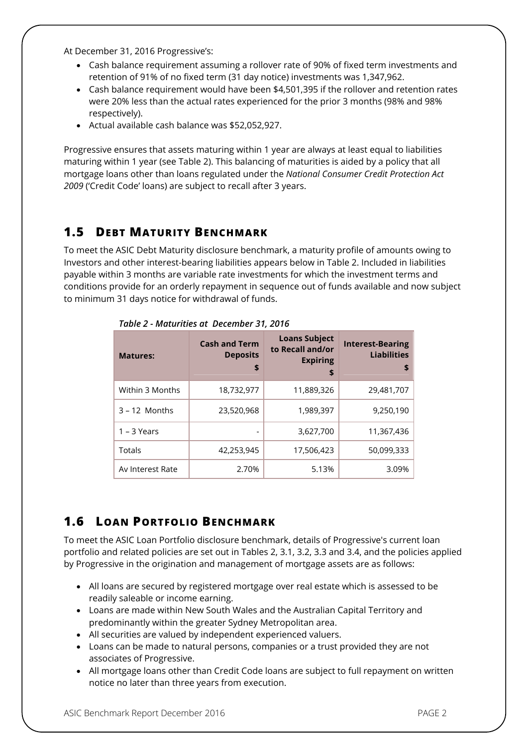At December 31, 2016 Progressive's:

- Cash balance requirement assuming a rollover rate of 90% of fixed term investments and retention of 91% of no fixed term (31 day notice) investments was 1,347,962.
- Cash balance requirement would have been \$4,501,395 if the rollover and retention rates were 20% less than the actual rates experienced for the prior 3 months (98% and 98% respectively).
- Actual available cash balance was \$52,052,927.

Progressive ensures that assets maturing within 1 year are always at least equal to liabilities maturing within 1 year (see Table 2). This balancing of maturities is aided by a policy that all mortgage loans other than loans regulated under the *National Consumer Credit Protection Act 2009* ('Credit Code' loans) are subject to recall after 3 years.

### **1.5 DEBT MATURITY BENCHMARK**

To meet the ASIC Debt Maturity disclosure benchmark, a maturity profile of amounts owing to Investors and other interest-bearing liabilities appears below in Table 2. Included in liabilities payable within 3 months are variable rate investments for which the investment terms and conditions provide for an orderly repayment in sequence out of funds available and now subject to minimum 31 days notice for withdrawal of funds.

| <b>Matures:</b>  | <b>Cash and Term</b><br><b>Deposits</b><br>\$ | <b>Loans Subject</b><br>to Recall and/or<br><b>Expiring</b><br>\$ | <b>Interest-Bearing</b><br><b>Liabilities</b><br>\$ |
|------------------|-----------------------------------------------|-------------------------------------------------------------------|-----------------------------------------------------|
| Within 3 Months  | 18,732,977                                    | 11,889,326                                                        | 29,481,707                                          |
| $3 - 12$ Months  | 23,520,968                                    | 1,989,397                                                         | 9,250,190                                           |
| $1 - 3$ Years    |                                               | 3,627,700                                                         | 11,367,436                                          |
| <b>Totals</b>    | 42,253,945                                    | 17,506,423                                                        | 50,099,333                                          |
| Av Interest Rate | 2.70%                                         | 5.13%                                                             | 3.09%                                               |

*Table 2 - Maturities at December 31, 2016*

### **1.6 LOAN PORTFOLIO BENCHMARK**

To meet the ASIC Loan Portfolio disclosure benchmark, details of Progressive's current loan portfolio and related policies are set out in Tables 2, 3.1, 3.2, 3.3 and 3.4, and the policies applied by Progressive in the origination and management of mortgage assets are as follows:

- All loans are secured by registered mortgage over real estate which is assessed to be readily saleable or income earning.
- Loans are made within New South Wales and the Australian Capital Territory and predominantly within the greater Sydney Metropolitan area.
- All securities are valued by independent experienced valuers.
- Loans can be made to natural persons, companies or a trust provided they are not associates of Progressive.
- All mortgage loans other than Credit Code loans are subject to full repayment on written notice no later than three years from execution.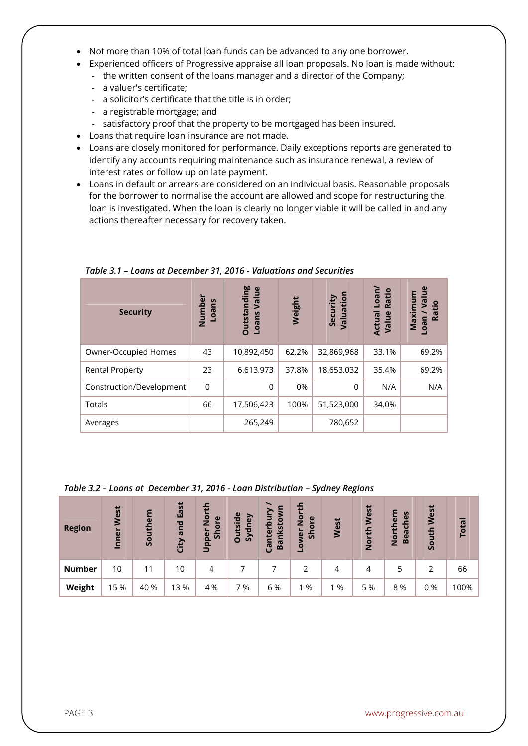- Not more than 10% of total loan funds can be advanced to any one borrower.
- Experienced officers of Progressive appraise all loan proposals. No loan is made without:
	- the written consent of the loans manager and a director of the Company;
	- a valuer's certificate;
	- a solicitor's certificate that the title is in order;
	- a registrable mortgage; and
	- satisfactory proof that the property to be mortgaged has been insured.
- Loans that require loan insurance are not made.
- Loans are closely monitored for performance. Daily exceptions reports are generated to identify any accounts requiring maintenance such as insurance renewal, a review of interest rates or follow up on late payment.
- Loans in default or arrears are considered on an individual basis. Reasonable proposals for the borrower to normalise the account are allowed and scope for restructuring the loan is investigated. When the loan is clearly no longer viable it will be called in and any actions thereafter necessary for recovery taken.

| <b>Security</b>          | Number<br>Loans | <b>Outstanding</b><br>Value<br>Loans | Weight | Valuation<br>Security | Loan/<br>Ratio<br><b>Actual</b><br>Value | $u$<br>Maximu<br>厄<br>Ratio<br><b>Loan</b> |
|--------------------------|-----------------|--------------------------------------|--------|-----------------------|------------------------------------------|--------------------------------------------|
| Owner-Occupied Homes     | 43              | 10,892,450                           | 62.2%  | 32,869,968            | 33.1%                                    | 69.2%                                      |
| <b>Rental Property</b>   | 23              | 6,613,973                            | 37.8%  | 18,653,032            | 35.4%                                    | 69.2%                                      |
| Construction/Development | 0               | 0                                    | 0%     | 0                     | N/A                                      | N/A                                        |
| Totals                   | 66              | 17,506,423                           | 100%   | 51,523,000            | 34.0%                                    |                                            |
| Averages                 |                 | 265,249                              |        | 780,652               |                                          |                                            |

*Table 3.1 – Loans at December 31, 2016 - Valuations and Securities*

#### *Table 3.2 – Loans at December 31, 2016 - Loan Distribution – Sydney Regions*

| <b>Region</b> | West<br>Inner | Southern | East<br>and<br>City | ÷<br>$\overline{2}$<br>$\mathbf \omega$<br>Shor<br>Upper | <b>Outside</b><br>dney<br>$\overline{\mathcal{S}}$ | ξ<br>Bankstow<br>nterbu<br>ලි | 든<br>$\frac{5}{2}$<br>$\mathbf{\omega}$<br>$\overline{\sigma}$<br>$\tilde{5}$<br>owe | West | West<br>North | S<br>$\omega$<br>the<br>Ē<br><b>Beac</b><br><u>ۃ</u> | West<br>South | <b>Total</b> |
|---------------|---------------|----------|---------------------|----------------------------------------------------------|----------------------------------------------------|-------------------------------|--------------------------------------------------------------------------------------|------|---------------|------------------------------------------------------|---------------|--------------|
| <b>Number</b> | 10            | 11       | 10                  | 4                                                        |                                                    |                               |                                                                                      | 4    | 4             | 5                                                    | フ             | 66           |
| Weight        | 15 %          | 40 %     | 13 %                | 4 %                                                      | 7 %                                                | 6 %                           | 1 %                                                                                  | %    | 5 %           | 8%                                                   | 0%            | 100%         |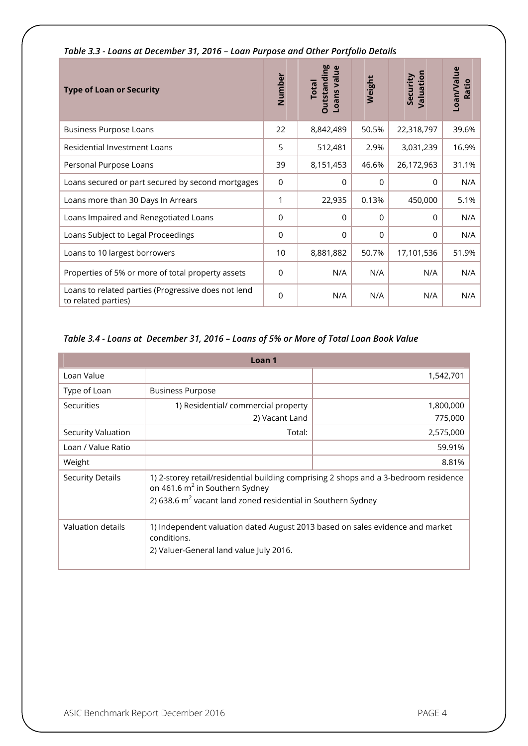| <b>Type of Loan or Security</b>                                            | Number          | <b>Outstanding</b><br>Loans value<br><b>Total</b> | Weight      | Valuation<br>Security | Loan/Value<br>Ratio |
|----------------------------------------------------------------------------|-----------------|---------------------------------------------------|-------------|-----------------------|---------------------|
| <b>Business Purpose Loans</b>                                              | 22              | 8,842,489                                         | 50.5%       | 22,318,797            | 39.6%               |
| Residential Investment Loans                                               | 5               | 512,481                                           | 2.9%        | 3,031,239             | 16.9%               |
| Personal Purpose Loans                                                     | 39              | 8,151,453                                         | 46.6%       | 26,172,963            | 31.1%               |
| Loans secured or part secured by second mortgages                          | $\mathbf 0$     | $\Omega$                                          | $\mathbf 0$ | $\Omega$              | N/A                 |
| Loans more than 30 Days In Arrears                                         | 1               | 22,935                                            | 0.13%       | 450,000               | 5.1%                |
| Loans Impaired and Renegotiated Loans                                      | $\Omega$        | $\Omega$                                          | $\Omega$    | $\Omega$              | N/A                 |
| Loans Subject to Legal Proceedings                                         | $\mathbf 0$     | $\mathbf{0}$                                      | 0           | $\Omega$              | N/A                 |
| Loans to 10 largest borrowers                                              | 10 <sup>°</sup> | 8,881,882                                         | 50.7%       | 17,101,536            | 51.9%               |
| Properties of 5% or more of total property assets                          | $\Omega$        | N/A                                               | N/A         | N/A                   | N/A                 |
| Loans to related parties (Progressive does not lend<br>to related parties) | $\Omega$        | N/A                                               | N/A         | N/A                   | N/A                 |

#### *Table 3.3 - Loans at December 31, 2016 – Loan Purpose and Other Portfolio Details*

#### *Table 3.4 - Loans at December 31, 2016 – Loans of 5% or More of Total Loan Book Value*

|                         | Loan <sub>1</sub>                                                                                                                                                                                     |           |  |  |  |
|-------------------------|-------------------------------------------------------------------------------------------------------------------------------------------------------------------------------------------------------|-----------|--|--|--|
| Loan Value              |                                                                                                                                                                                                       | 1,542,701 |  |  |  |
| Type of Loan            | <b>Business Purpose</b>                                                                                                                                                                               |           |  |  |  |
| Securities              | 1) Residential/ commercial property                                                                                                                                                                   | 1,800,000 |  |  |  |
|                         | 2) Vacant Land                                                                                                                                                                                        | 775,000   |  |  |  |
| Security Valuation      | Total:                                                                                                                                                                                                | 2,575,000 |  |  |  |
| Loan / Value Ratio      |                                                                                                                                                                                                       | 59.91%    |  |  |  |
| Weight                  |                                                                                                                                                                                                       | 8.81%     |  |  |  |
| <b>Security Details</b> | 1) 2-storey retail/residential building comprising 2 shops and a 3-bedroom residence<br>on 461.6 m <sup>2</sup> in Southern Sydney<br>2) 638.6 $m^2$ vacant land zoned residential in Southern Sydney |           |  |  |  |
| Valuation details       | 1) Independent valuation dated August 2013 based on sales evidence and market<br>conditions.<br>2) Valuer-General land value July 2016.                                                               |           |  |  |  |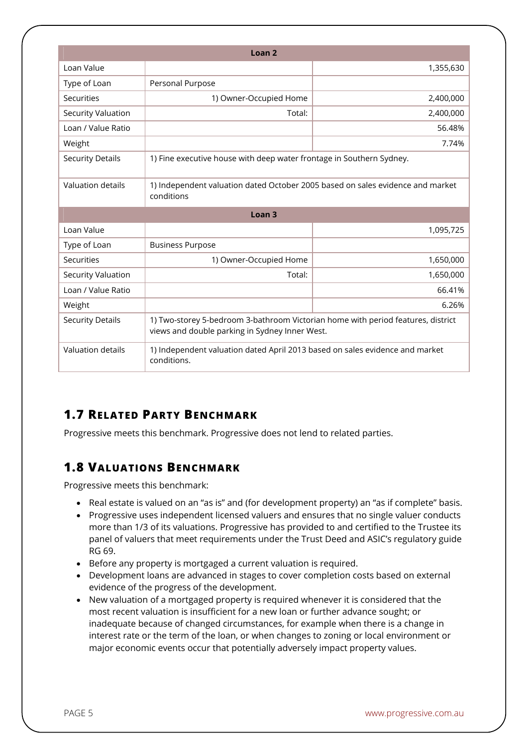| Loan <sub>2</sub>         |                                                                                                                                    |                                                                      |  |  |  |  |
|---------------------------|------------------------------------------------------------------------------------------------------------------------------------|----------------------------------------------------------------------|--|--|--|--|
| Loan Value                |                                                                                                                                    | 1,355,630                                                            |  |  |  |  |
| Type of Loan              | Personal Purpose                                                                                                                   |                                                                      |  |  |  |  |
| Securities                | 1) Owner-Occupied Home                                                                                                             | 2,400,000                                                            |  |  |  |  |
| Security Valuation        | Total:                                                                                                                             | 2,400,000                                                            |  |  |  |  |
| Loan / Value Ratio        |                                                                                                                                    | 56.48%                                                               |  |  |  |  |
| Weight                    |                                                                                                                                    | 7.74%                                                                |  |  |  |  |
| <b>Security Details</b>   |                                                                                                                                    | 1) Fine executive house with deep water frontage in Southern Sydney. |  |  |  |  |
| Valuation details         | 1) Independent valuation dated October 2005 based on sales evidence and market<br>conditions                                       |                                                                      |  |  |  |  |
|                           | Loan <sub>3</sub>                                                                                                                  |                                                                      |  |  |  |  |
| Loan Value                |                                                                                                                                    | 1,095,725                                                            |  |  |  |  |
| Type of Loan              | <b>Business Purpose</b>                                                                                                            |                                                                      |  |  |  |  |
| Securities                | 1) Owner-Occupied Home                                                                                                             | 1,650,000                                                            |  |  |  |  |
| <b>Security Valuation</b> | Total:                                                                                                                             | 1,650,000                                                            |  |  |  |  |
| Loan / Value Ratio        |                                                                                                                                    | 66.41%                                                               |  |  |  |  |
| Weight                    |                                                                                                                                    | 6.26%                                                                |  |  |  |  |
| <b>Security Details</b>   | 1) Two-storey 5-bedroom 3-bathroom Victorian home with period features, district<br>views and double parking in Sydney Inner West. |                                                                      |  |  |  |  |
| Valuation details         | 1) Independent valuation dated April 2013 based on sales evidence and market<br>conditions.                                        |                                                                      |  |  |  |  |

# **1.7 RELATED PARTY BENCHMARK**

Progressive meets this benchmark. Progressive does not lend to related parties.

#### **1.8 VALUATIONS BENCHMARK**

Progressive meets this benchmark:

- Real estate is valued on an "as is" and (for development property) an "as if complete" basis.
- Progressive uses independent licensed valuers and ensures that no single valuer conducts more than 1/3 of its valuations. Progressive has provided to and certified to the Trustee its panel of valuers that meet requirements under the Trust Deed and ASIC's regulatory guide RG 69.
- Before any property is mortgaged a current valuation is required.
- Development loans are advanced in stages to cover completion costs based on external evidence of the progress of the development.
- New valuation of a mortgaged property is required whenever it is considered that the most recent valuation is insufficient for a new loan or further advance sought; or inadequate because of changed circumstances, for example when there is a change in interest rate or the term of the loan, or when changes to zoning or local environment or major economic events occur that potentially adversely impact property values.